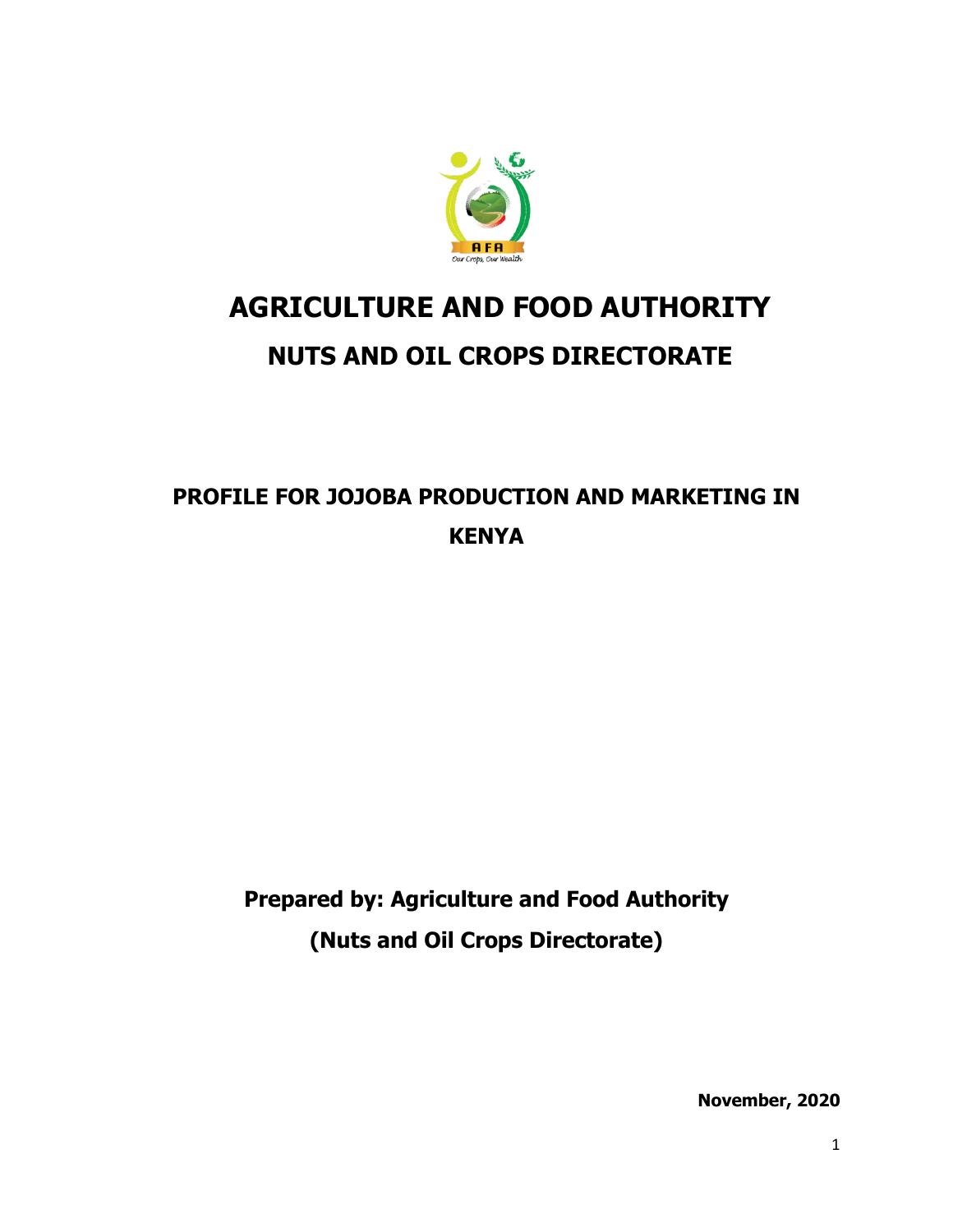

# **AGRICULTURE AND FOOD AUTHORITY NUTS AND OIL CROPS DIRECTORATE**

## **PROFILE FOR JOJOBA PRODUCTION AND MARKETING IN KENYA**

**Prepared by: Agriculture and Food Authority (Nuts and Oil Crops Directorate)**

**November, 2020**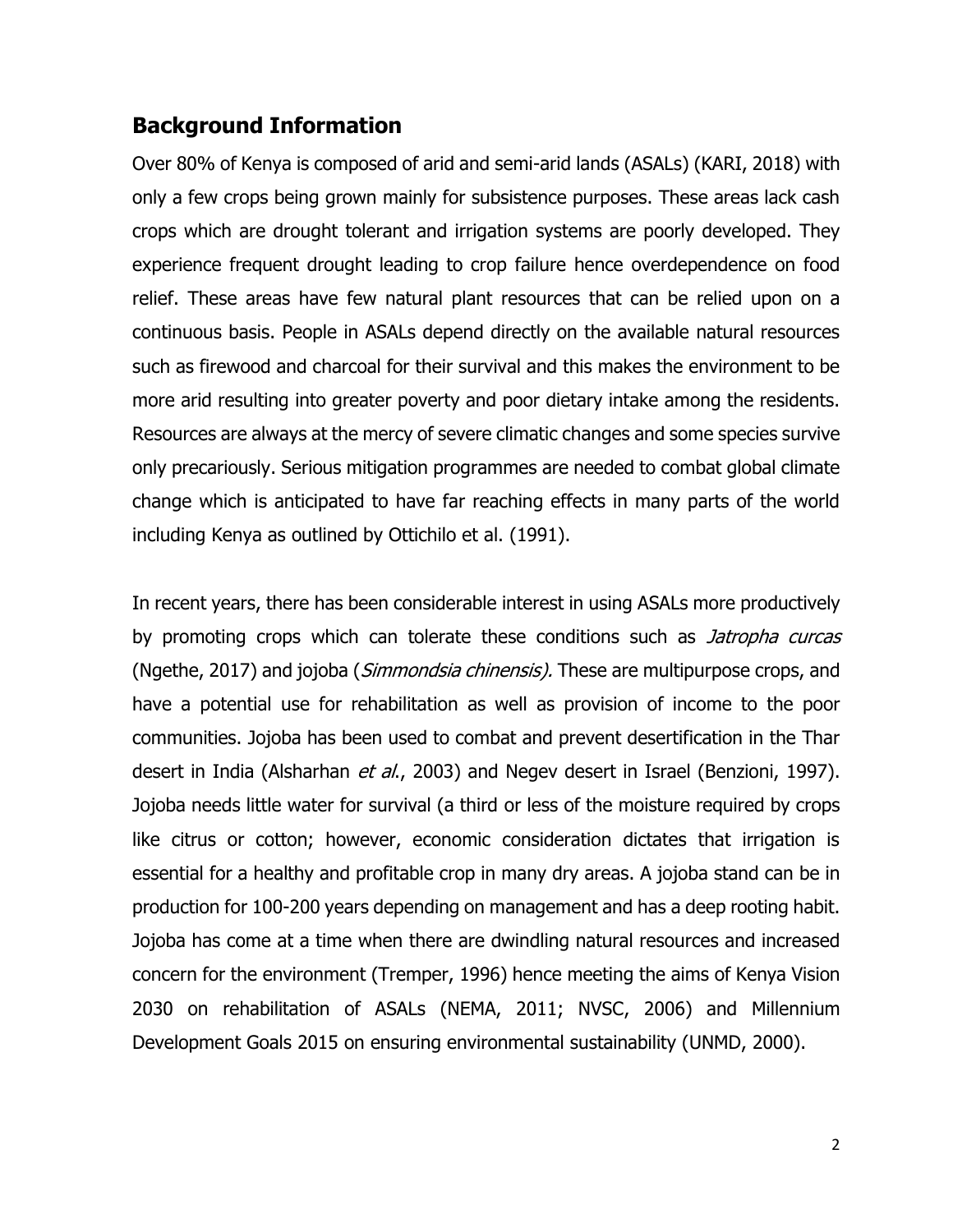#### **Background Information**

Over 80% of Kenya is composed of arid and semi-arid lands (ASALs) (KARI, 2018) with only a few crops being grown mainly for subsistence purposes. These areas lack cash crops which are drought tolerant and irrigation systems are poorly developed. They experience frequent drought leading to crop failure hence overdependence on food relief. These areas have few natural plant resources that can be relied upon on a continuous basis. People in ASALs depend directly on the available natural resources such as firewood and charcoal for their survival and this makes the environment to be more arid resulting into greater poverty and poor dietary intake among the residents. Resources are always at the mercy of severe climatic changes and some species survive only precariously. Serious mitigation programmes are needed to combat global climate change which is anticipated to have far reaching effects in many parts of the world including Kenya as outlined by Ottichilo et al. (1991).

In recent years, there has been considerable interest in using ASALs more productively by promoting crops which can tolerate these conditions such as *Jatropha curcas* (Ngethe, 2017) and jojoba (*Simmondsia chinensis*). These are multipurpose crops, and have a potential use for rehabilitation as well as provision of income to the poor communities. Jojoba has been used to combat and prevent desertification in the Thar desert in India (Alsharhan et al., 2003) and Negev desert in Israel (Benzioni, 1997). Jojoba needs little water for survival (a third or less of the moisture required by crops like citrus or cotton; however, economic consideration dictates that irrigation is essential for a healthy and profitable crop in many dry areas. A jojoba stand can be in production for 100-200 years depending on management and has a deep rooting habit. Jojoba has come at a time when there are dwindling natural resources and increased concern for the environment (Tremper, 1996) hence meeting the aims of Kenya Vision 2030 on rehabilitation of ASALs (NEMA, 2011; NVSC, 2006) and Millennium Development Goals 2015 on ensuring environmental sustainability (UNMD, 2000)[.](file:///C:/Users/imasira.AFA-AD/Downloads/inotiPhDthesis.pdf%23page=5)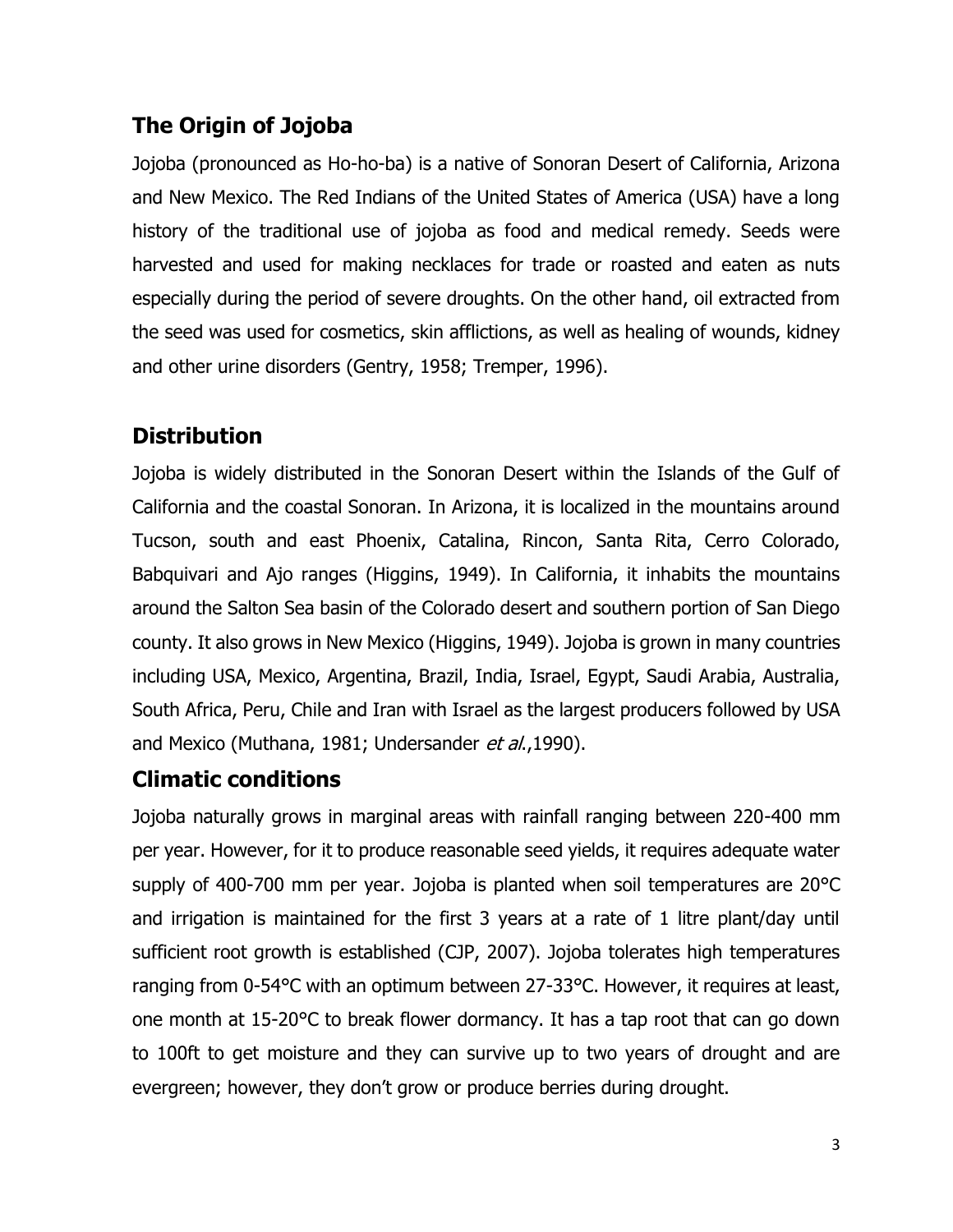## **The Origin of Jojoba**

Jojoba (pronounced as Ho-ho-ba) is a native of Sonoran Desert of California, Arizona and New Mexico. The Red Indians of the United States of America (USA) have a long history of the traditional use of jojoba as food and medical remedy. Seeds were harvested and used for making necklaces for trade or roasted and eaten as nuts especially during the period of severe droughts. On the other hand, oil extracted from the seed was used for cosmetics, skin afflictions, as well as healing of wounds, kidney and other urine disorders (Gentry, 1958; Tremper, 1996).

## **Distribution**

Jojoba is widely distributed in the Sonoran Desert within the Islands of the Gulf of California and the coastal Sonoran. In Arizona, it is localized in the mountains around Tucson, south and east Phoenix, Catalina, Rincon, Santa Rita, Cerro Colorado, Babquivari and Ajo ranges (Higgins, 1949). In California, it inhabits the mountains around the Salton Sea basin of the Colorado desert and southern portion of San Diego county. It also grows in New Mexico (Higgins, 1949). Jojoba is grown in many countries including USA, Mexico, Argentina, Brazil, India, Israel, Egypt, Saudi Arabia, Australia, South Africa, Peru, Chile and Iran with Israel as the largest producers followed by USA and Mexico (Muthana, 1981; Undersander et al., 1990).

## **Climatic conditions**

Jojoba naturally grows in marginal areas with rainfall ranging between 220-400 mm per year. However, for it to produce reasonable seed yields, it requires adequate water supply of 400-700 mm per year. Jojoba is planted when soil temperatures are 20°C and irrigation is maintained for the first 3 years at a rate of 1 litre plant/day until sufficient root growth is established (CJP, 2007). Jojoba tolerates high temperatures ranging from 0-54°C with an optimum between 27-33°C. However, it requires at least, one month at 15-20°C to break flower dormancy. It has a tap root that can go down to 100ft to get moisture and they can survive up to two years of drought and are evergreen; however, they don't grow or produce berries during drought.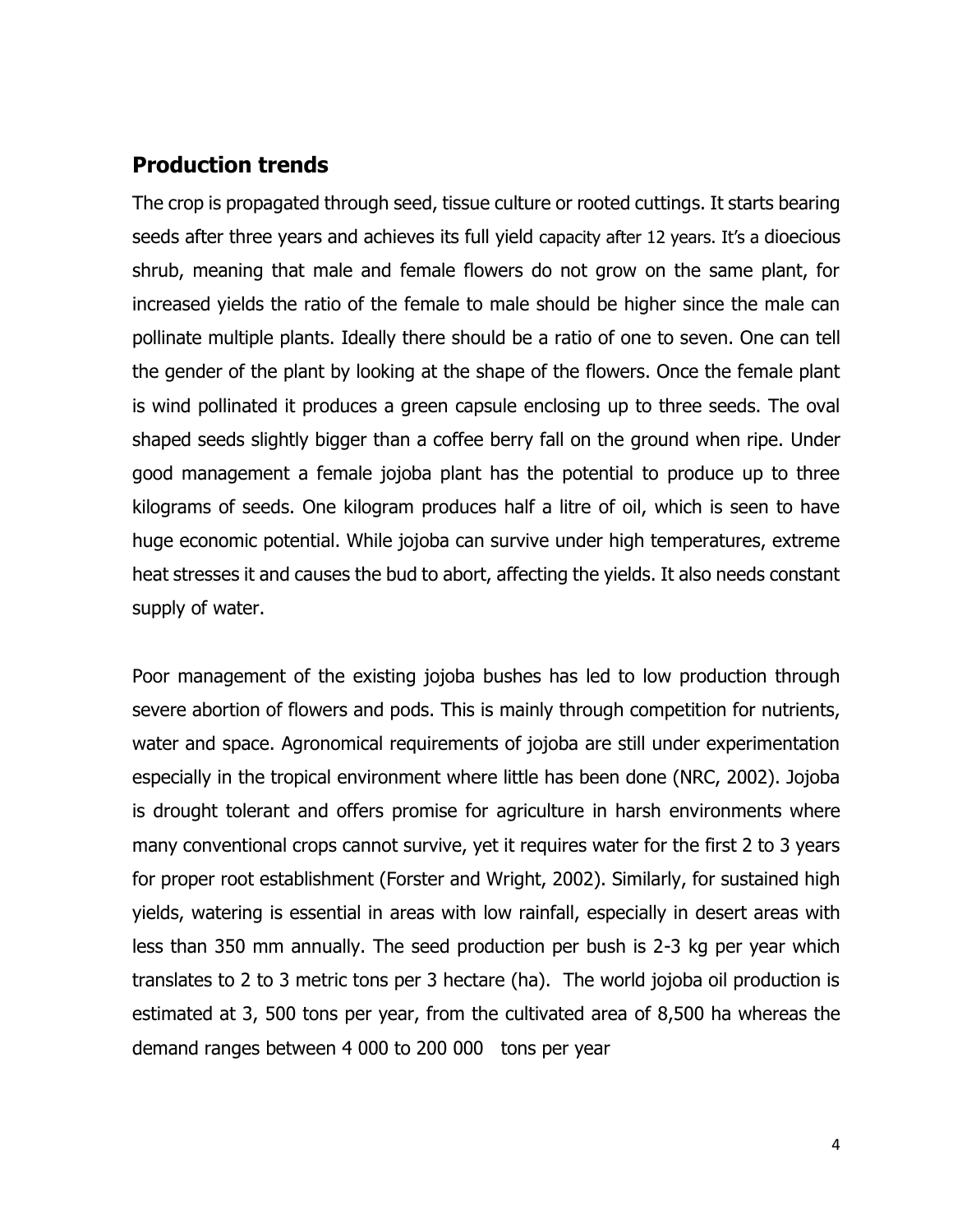#### **Production trends**

The crop is propagated through seed, tissue culture or rooted cuttings. It starts bearing seeds after three years and achieves its full yield capacity after 12 years. It's a dioecious shrub, meaning that male and female flowers do not grow on the same plant, for increased yields the ratio of the female to male should be higher since the male can pollinate multiple plants. Ideally there should be a ratio of one to seven. One can tell the gender of the plant by looking at the shape of the flowers. Once the female plant is wind pollinated it produces a green capsule enclosing up to three seeds. The oval shaped seeds slightly bigger than a coffee berry fall on the ground when ripe. Under good management a female jojoba plant has the potential to produce up to three kilograms of seeds. One kilogram produces half a litre of oil, which is seen to have huge economic potential. While jojoba can survive under high temperatures, extreme heat stresses it and causes the bud to abort, affecting the yields. It also needs constant supply of water.

Poor management of the existing jojoba bushes has led to low production through severe abortion of flowers and pods. This is mainly through competition for nutrients, water and space. Agronomical requirements of jojoba are still under experimentation especially in the tropical environment where little has been done (NRC, 2002). Jojoba is drought tolerant and offers promise for agriculture in harsh environments where many conventional crops cannot survive, yet it requires water for the first 2 to 3 years for proper root establishment (Forster and Wright, 2002). Similarly, for sustained high yields, watering is essential in areas with low rainfall, especially in desert areas with less than 350 mm annually. The seed production per bush is 2-3 kg per year which translates to 2 to 3 metric tons per 3 hectare (ha). The world jojoba oil production is estimated at 3, 500 tons per year, from the cultivated area of 8,500 ha whereas the demand ranges between 4 000 to 200 000 tons per year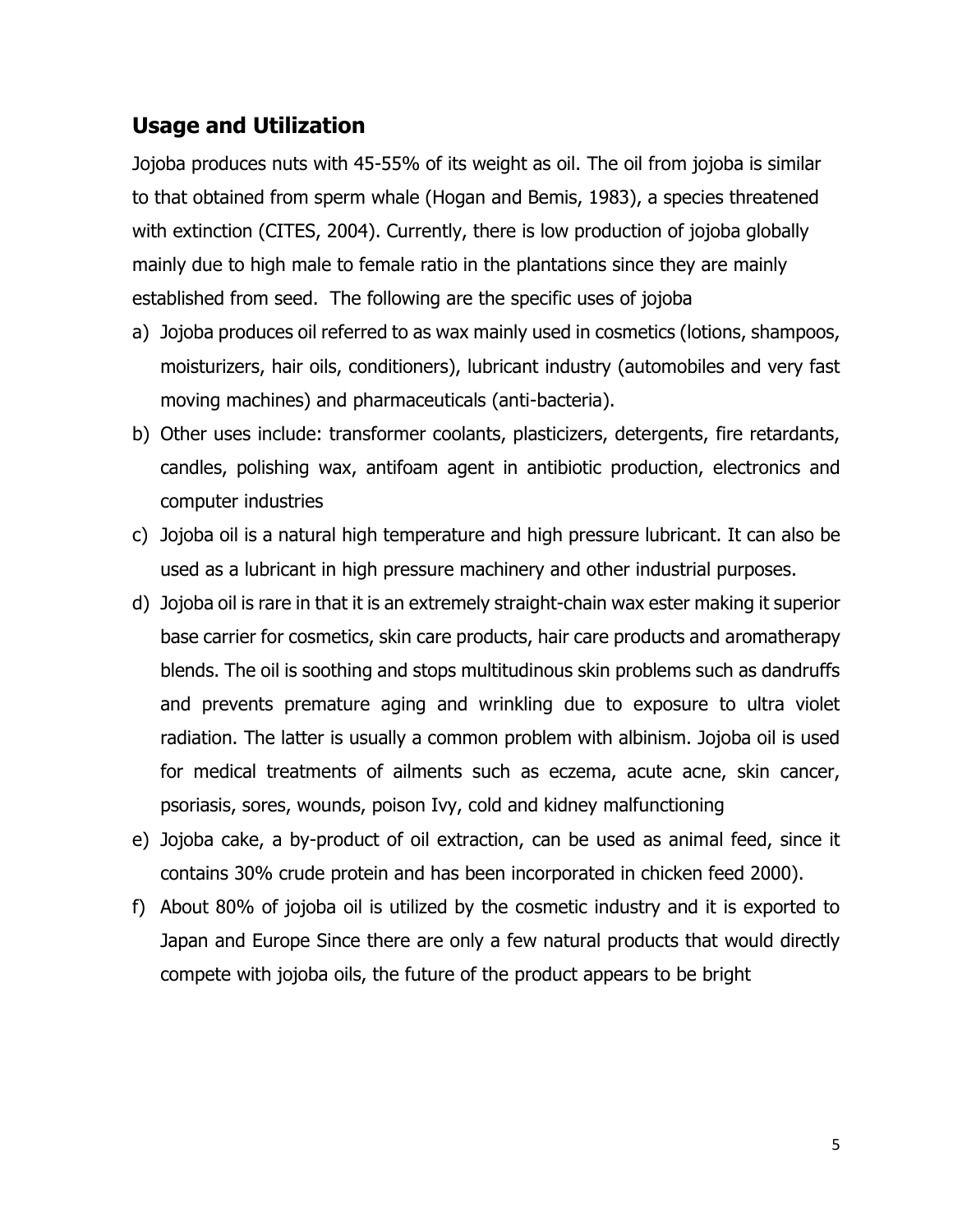#### **Usage and Utilization**

Jojoba produces nuts with 45-55% of its weight as oil. The oil from jojoba is similar to that obtained from sperm whale (Hogan and Bemis, 1983), a species threatened with extinction (CITES, 2004). Currently, there is low production of jojoba globally mainly due to high male to female ratio in the plantations since they are mainly established from seed. The following are the specific uses of jojoba

- a) Jojoba produces oil referred to as wax mainly used in cosmetics (lotions, shampoos, moisturizers, hair oils, conditioners), lubricant industry (automobiles and very fast moving machines) and pharmaceuticals (anti-bacteria).
- b) Other uses include: transformer coolants, plasticizers, detergents, fire retardants, candles, polishing wax, antifoam agent in antibiotic production, electronics and computer industries
- c) Jojoba oil is a natural high temperature and high pressure lubricant. It can also be used as a lubricant in high pressure machinery and other industrial purposes.
- d) Jojoba oil is rare in that it is an extremely straight-chain wax ester making it superior base carrier for cosmetics, skin care products, hair care products and aromatherapy blends. The oil is soothing and stops multitudinous skin problems such as dandruffs and prevents premature aging and wrinkling due to exposure to ultra violet radiation. The latter is usually a common problem with albinism. Jojoba oil is used for medical treatments of ailments such as eczema, acute acne, skin cancer, psoriasis, sores, wounds, poison Ivy, cold and kidney malfunctioning
- e) Jojoba cake, a by-product of oil extraction, can be used as animal feed, since it contains 30% crude protein and has been incorporated in chicken feed 2000).
- f) About 80% of jojoba oil is utilized by the cosmetic industry and it is exported to Japan and Europe Since there are only a few natural products that would directly compete with jojoba oils, the future of the product appears to be bright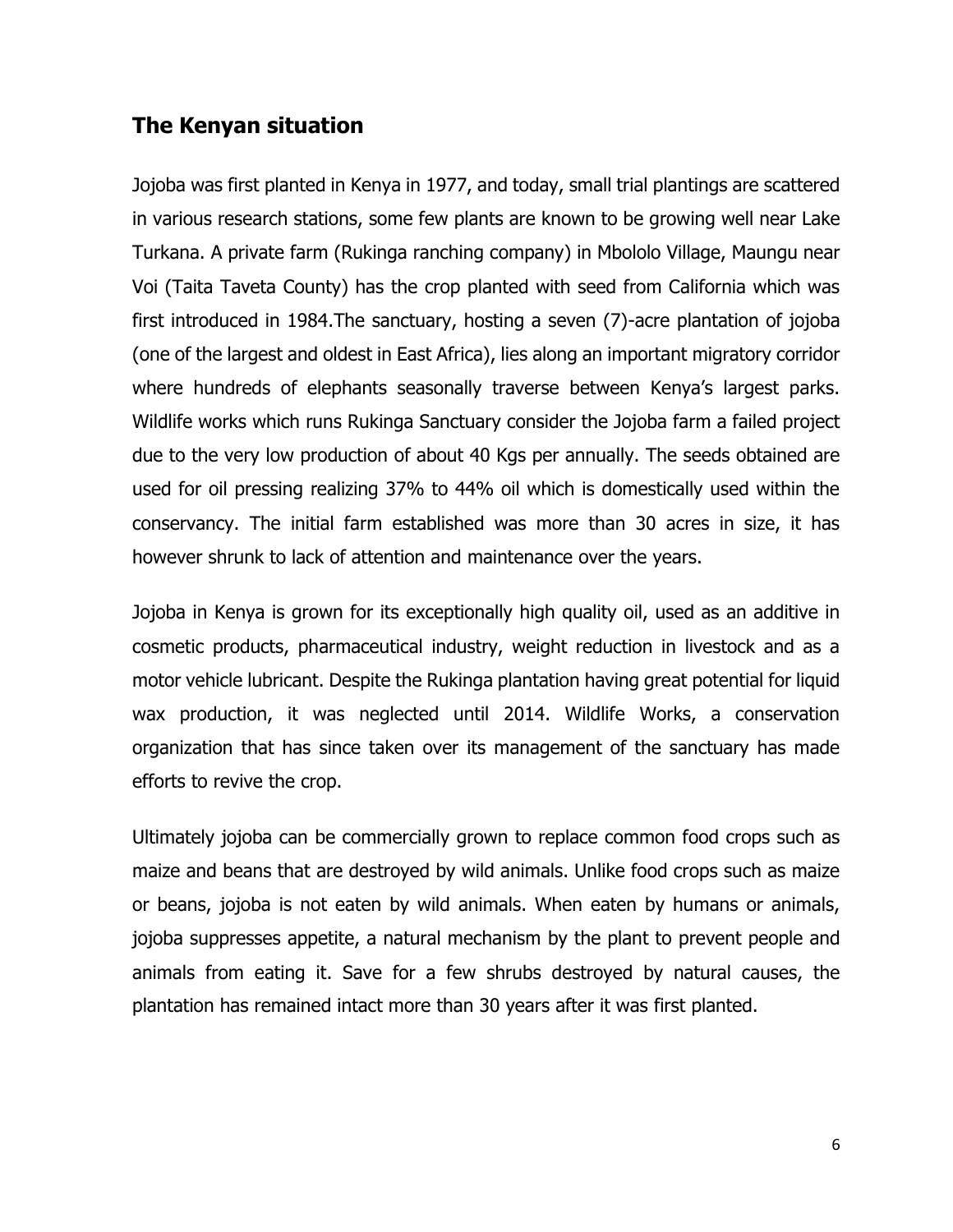#### **The Kenyan situation**

Jojoba was first planted in Kenya in 1977, and today, small trial plantings are scattered in various research stations, some few plants are known to be growing well near Lake Turkana. A private farm (Rukinga ranching company) in Mbololo Village, Maungu near Voi (Taita Taveta County) has the crop planted with seed from California which was first introduced in 1984.The sanctuary, hosting a seven (7)-acre plantation of jojoba (one of the largest and oldest in East Africa), lies along an important migratory corridor where hundreds of elephants seasonally traverse between Kenya's largest parks. Wildlife works which runs Rukinga Sanctuary consider the Jojoba farm a failed project due to the very low production of about 40 Kgs per annually. The seeds obtained are used for oil pressing realizing 37% to 44% oil which is domestically used within the conservancy. The initial farm established was more than 30 acres in size, it has however shrunk to lack of attention and maintenance over the years.

Jojoba in Kenya is grown for its exceptionally high quality oil, used as an additive in cosmetic products, pharmaceutical industry, weight reduction in livestock and as a motor vehicle lubricant. Despite the Rukinga plantation having great potential for liquid wax production, it was neglected until 2014. Wildlife Works, a conservation organization that has since taken over its management of the sanctuary has made efforts to revive the crop.

Ultimately jojoba can be commercially grown to replace common food crops such as maize and beans that are destroyed by wild animals. Unlike food crops such as maize or beans, jojoba is not eaten by wild animals. When eaten by humans or animals, jojoba suppresses appetite, a natural mechanism by the plant to prevent people and animals from eating it. Save for a few shrubs destroyed by natural causes, the plantation has remained intact more than 30 years after it was first planted.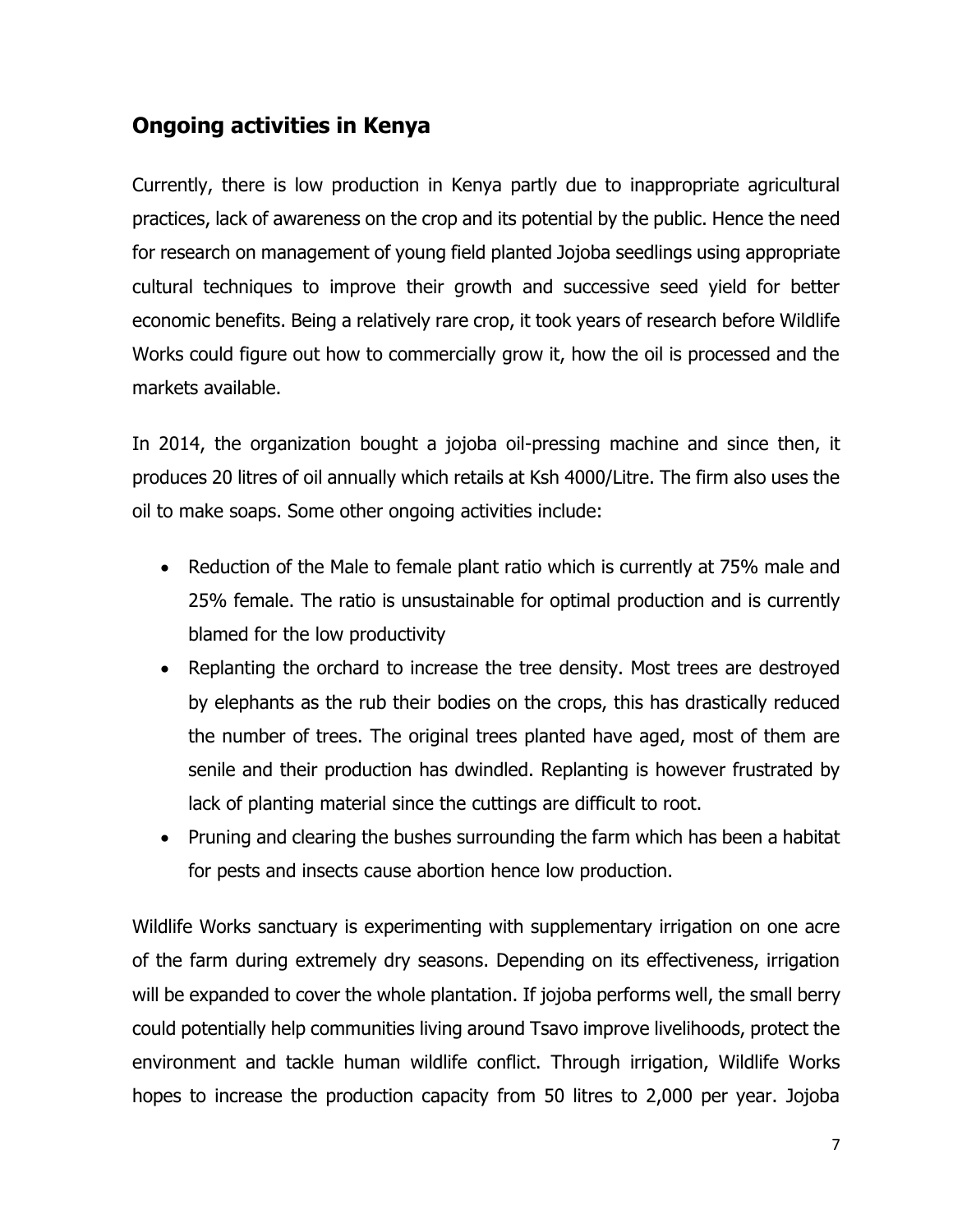## **Ongoing activities in Kenya**

Currently, there is low production in Kenya partly due to inappropriate agricultural practices, lack of awareness on the crop and its potential by the public. Hence the need for research on management of young field planted Jojoba seedlings using appropriate cultural techniques to improve their growth and successive seed yield for better economic benefits. Being a relatively rare crop, it took years of research before Wildlife Works could figure out how to commercially grow it, how the oil is processed and the markets available.

In 2014, the organization bought a jojoba oil-pressing machine and since then, it produces 20 litres of oil annually which retails at Ksh 4000/Litre. The firm also uses the oil to make soaps. Some other ongoing activities include:

- Reduction of the Male to female plant ratio which is currently at 75% male and 25% female. The ratio is unsustainable for optimal production and is currently blamed for the low productivity
- Replanting the orchard to increase the tree density. Most trees are destroyed by elephants as the rub their bodies on the crops, this has drastically reduced the number of trees. The original trees planted have aged, most of them are senile and their production has dwindled. Replanting is however frustrated by lack of planting material since the cuttings are difficult to root.
- Pruning and clearing the bushes surrounding the farm which has been a habitat for pests and insects cause abortion hence low production.

Wildlife Works sanctuary is experimenting with supplementary irrigation on one acre of the farm during extremely dry seasons. Depending on its effectiveness, irrigation will be expanded to cover the whole plantation. If jojoba performs well, the small berry could potentially help communities living around Tsavo improve livelihoods, protect the environment and tackle human wildlife conflict. Through irrigation, Wildlife Works hopes to increase the production capacity from 50 litres to 2,000 per year. Jojoba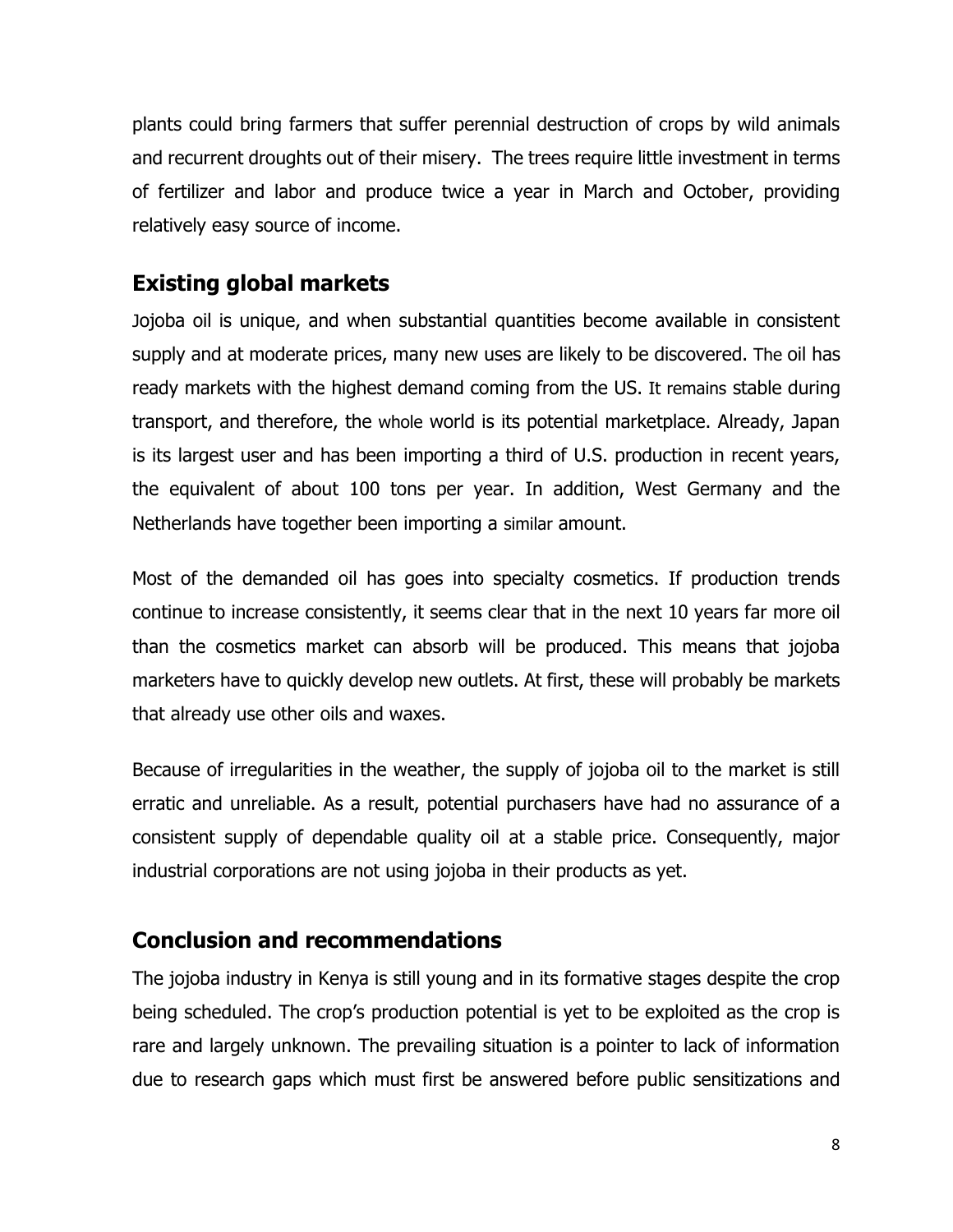plants could bring farmers that suffer perennial destruction of crops by wild animals and recurrent droughts out of their misery. The trees require little investment in terms of fertilizer and labor and produce twice a year in March and October, providing relatively easy source of income.

## **Existing global markets**

Jojoba oil is unique, and when substantial quantities become available in consistent supply and at moderate prices, many new uses are likely to be discovered. The oil has ready markets with the highest demand coming from the US. It remains stable during transport, and therefore, the whole world is its potential marketplace. Already, Japan is its largest user and has been importing a third of U.S. production in recent years, the equivalent of about 100 tons per year. In addition, West Germany and the Netherlands have together been importing a similar amount.

Most of the demanded oil has goes into specialty cosmetics. If production trends continue to increase consistently, it seems clear that in the next 10 years far more oil than the cosmetics market can absorb will be produced. This means that jojoba marketers have to quickly develop new outlets. At first, these will probably be markets that already use other oils and waxes.

Because of irregularities in the weather, the supply of jojoba oil to the market is still erratic and unreliable. As a result, potential purchasers have had no assurance of a consistent supply of dependable quality oil at a stable price. Consequently, major industrial corporations are not using jojoba in their products as yet.

## **Conclusion and recommendations**

The jojoba industry in Kenya is still young and in its formative stages despite the crop being scheduled. The crop's production potential is yet to be exploited as the crop is rare and largely unknown. The prevailing situation is a pointer to lack of information due to research gaps which must first be answered before public sensitizations and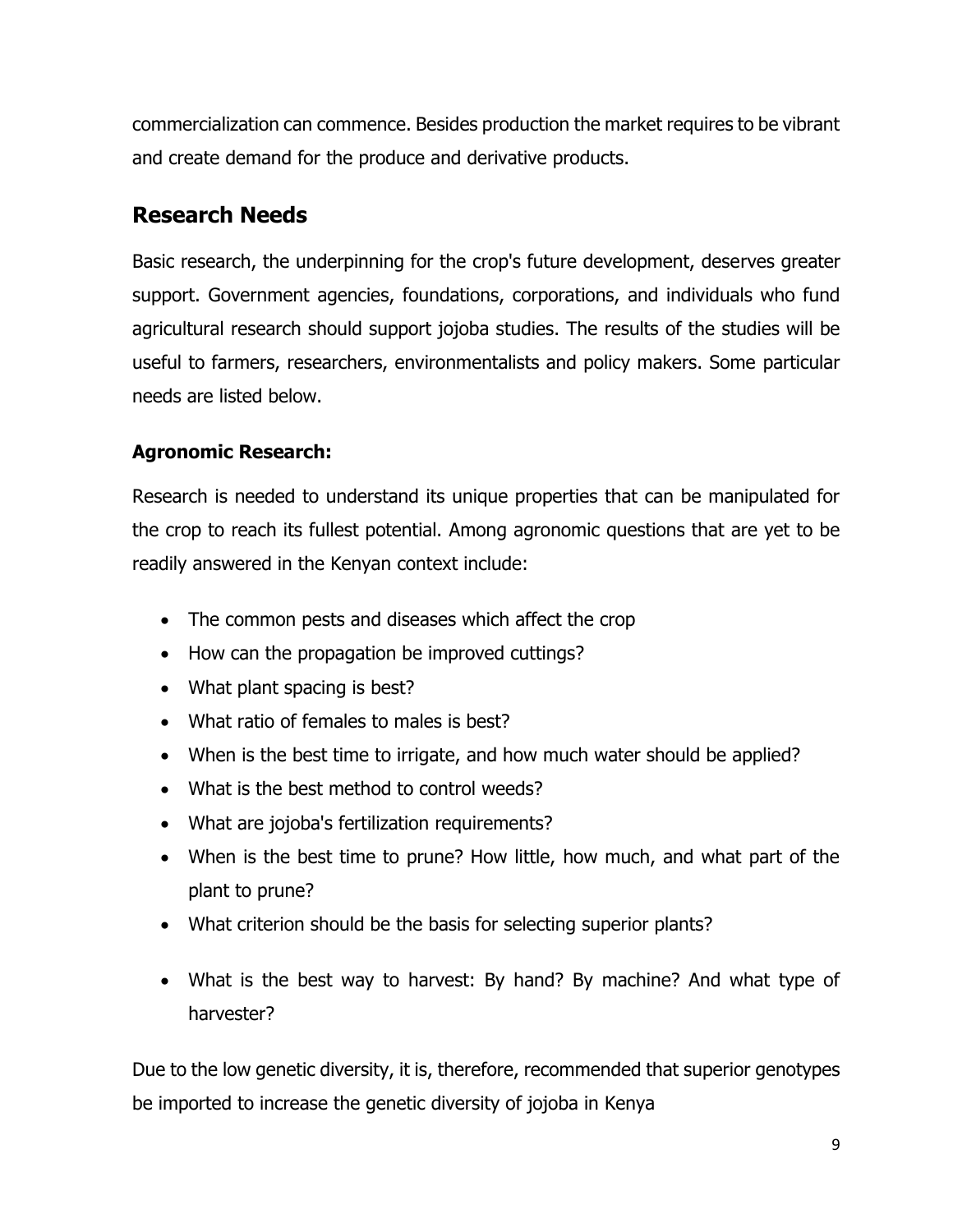commercialization can commence. Besides production the market requires to be vibrant and create demand for the produce and derivative products.

## **Research Needs**

Basic research, the underpinning for the crop's future development, deserves greater support. Government agencies, foundations, corporations, and individuals who fund agricultural research should support jojoba studies. The results of the studies will be useful to farmers, researchers, environmentalists and policy makers. Some particular needs are listed below.

#### **Agronomic Research:**

Research is needed to understand its unique properties that can be manipulated for the crop to reach its fullest potential. Among agronomic questions that are yet to be readily answered in the Kenyan context include:

- The common pests and diseases which affect the crop
- How can the propagation be improved cuttings?
- What plant spacing is best?
- What ratio of females to males is best?
- When is the best time to irrigate, and how much water should be applied?
- What is the best method to control weeds?
- What are jojoba's fertilization requirements?
- When is the best time to prune? How little, how much, and what part of the plant to prune?
- What criterion should be the basis for selecting superior plants?
- What is the best way to harvest: By hand? By machine? And what type of harvester?

Due to the low genetic diversity, it is, therefore, recommended that superior genotypes be imported to increase the genetic diversity of jojoba in Kenya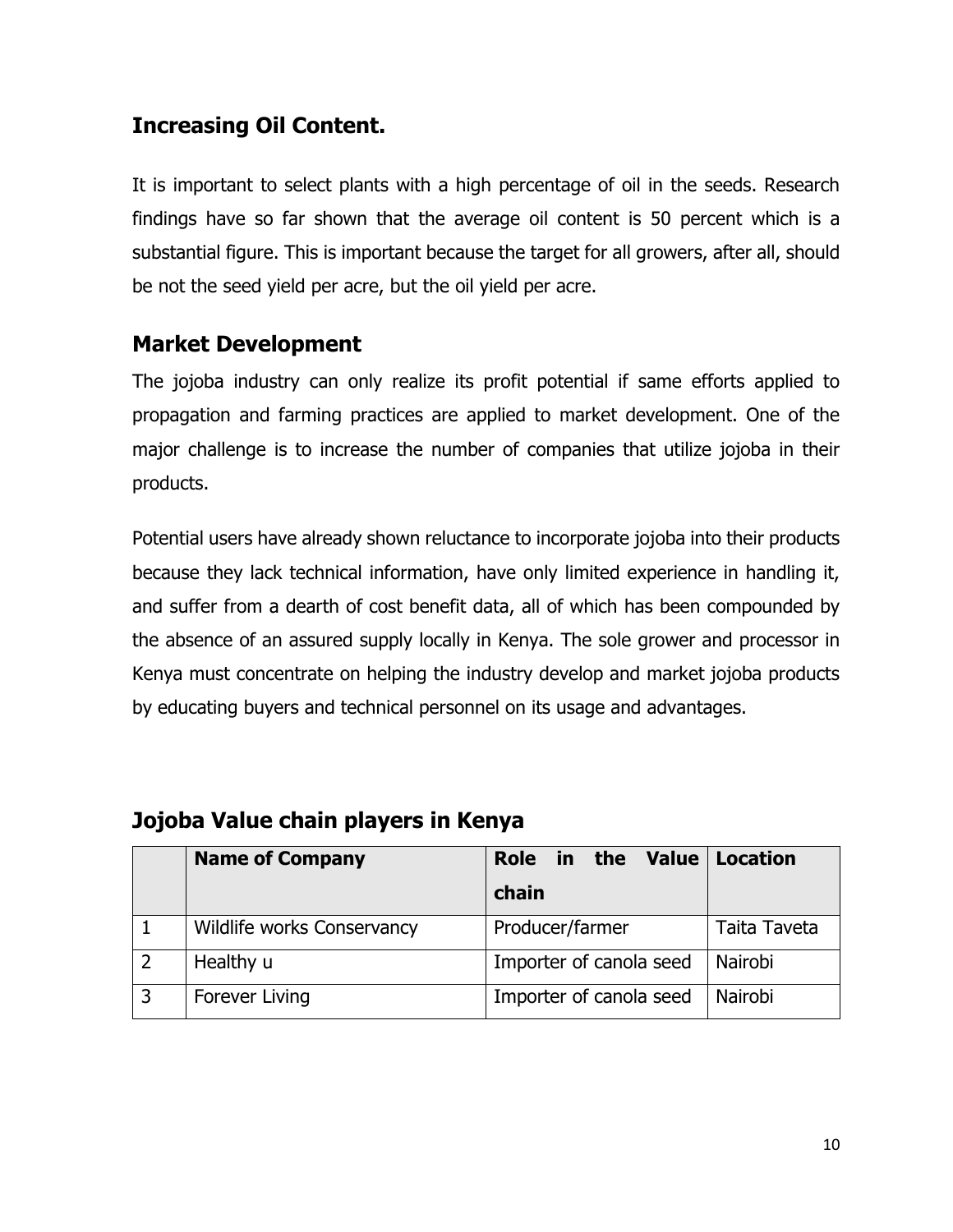## **Increasing Oil Content.**

It is important to select plants with a high percentage of oil in the seeds. Research findings have so far shown that the average oil content is 50 percent which is a substantial figure. This is important because the target for all growers, after all, should be not the seed yield per acre, but the oil yield per acre.

### **Market Development**

The jojoba industry can only realize its profit potential if same efforts applied to propagation and farming practices are applied to market development. One of the major challenge is to increase the number of companies that utilize jojoba in their products.

Potential users have already shown reluctance to incorporate jojoba into their products because they lack technical information, have only limited experience in handling it, and suffer from a dearth of cost benefit data, all of which has been compounded by the absence of an assured supply locally in Kenya. The sole grower and processor in Kenya must concentrate on helping the industry develop and market jojoba products by educating buyers and technical personnel on its usage and advantages.

| <b>Name of Company</b>     | the Value<br>Role<br>in. | <b>Location</b> |
|----------------------------|--------------------------|-----------------|
|                            | chain                    |                 |
| Wildlife works Conservancy | Producer/farmer          | Taita Taveta    |
| Healthy u                  | Importer of canola seed  | Nairobi         |
| Forever Living             | Importer of canola seed  | Nairobi         |

## **Jojoba Value chain players in Kenya**